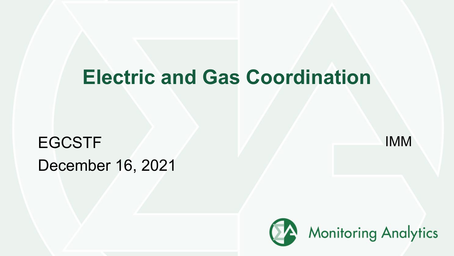# **Electric and Gas Coordination**

# EGCSTF IMM December 16, 2021

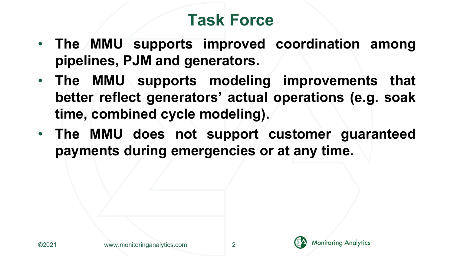## **Task Force**

- **The MMU supports improved coordination among pipelines, PJM and generators.**
- **The MMU supports modeling improvements that better reflect generators' actual operations (e.g. soak time, combined cycle modeling).**
- **The MMU does not support customer guaranteed payments during emergencies or at any time.**

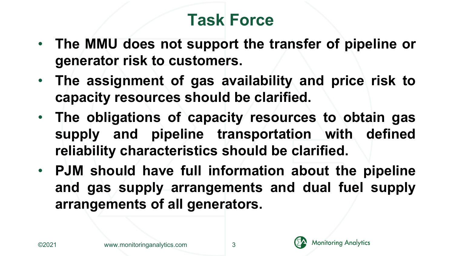## **Task Force**

- **The MMU does not support the transfer of pipeline or generator risk to customers.**
- **The assignment of gas availability and price risk to capacity resources should be clarified.**
- **The obligations of capacity resources to obtain gas supply and pipeline transportation with defined reliability characteristics should be clarified.**
- **PJM should have full information about the pipeline and gas supply arrangements and dual fuel supply arrangements of all generators.**

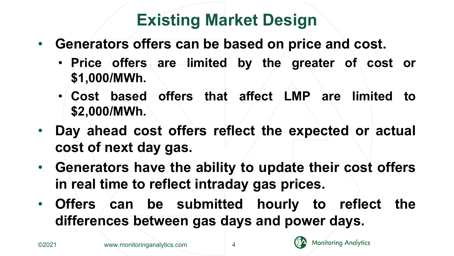## **Existing Market Design**

- **Generators offers can be based on price and cost.**
	- **Price offers are limited by the greater of cost or \$1,000/MWh.**
	- **Cost based offers that affect LMP are limited to \$2,000/MWh.**
- **Day ahead cost offers reflect the expected or actual cost of next day gas.**
- **Generators have the ability to update their cost offers in real time to reflect intraday gas prices.**
- **Offers can be submitted hourly to reflect the differences between gas days and power days.**

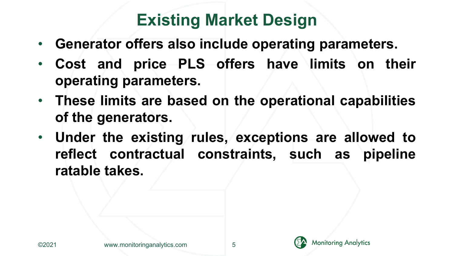## **Existing Market Design**

- **Generator offers also include operating parameters.**
- **Cost and price PLS offers have limits on their operating parameters.**
- **These limits are based on the operational capabilities of the generators.**
- **Under the existing rules, exceptions are allowed to reflect contractual constraints, such as pipeline ratable takes.**



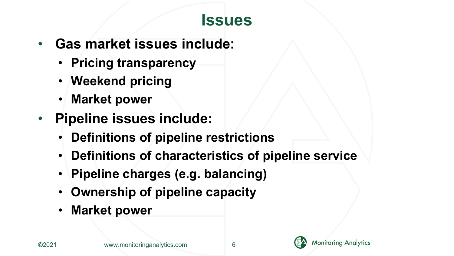#### **Issues**

- **Gas market issues include:**
	- **Pricing transparency**
	- **Weekend pricing**
	- **Market power**
- **Pipeline issues include:**
	- **Definitions of pipeline restrictions**
	- **Definitions of characteristics of pipeline service**
	- **Pipeline charges (e.g. balancing)**
	- **Ownership of pipeline capacity**
	- **Market power**

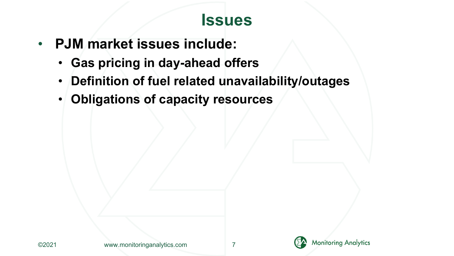#### **Issues**

- **PJM market issues include:**
	- **Gas pricing in day-ahead offers**
	- **Definition of fuel related unavailability/outages**
	- **Obligations of capacity resources**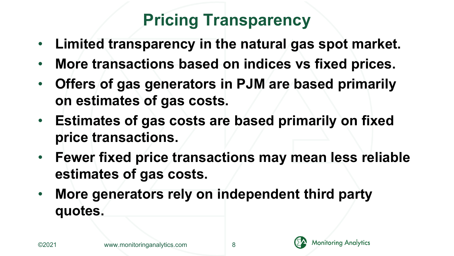## **Pricing Transparency**

- **Limited transparency in the natural gas spot market.**
- **More transactions based on indices vs fixed prices.**
- **Offers of gas generators in PJM are based primarily on estimates of gas costs.**
- **Estimates of gas costs are based primarily on fixed price transactions.**
- **Fewer fixed price transactions may mean less reliable estimates of gas costs.**
- **More generators rely on independent third party quotes.**



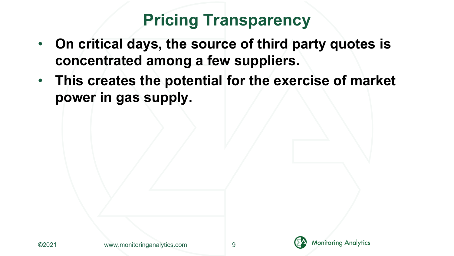#### **Pricing Transparency**

- **On critical days, the source of third party quotes is concentrated among a few suppliers.**
- **This creates the potential for the exercise of market power in gas supply.**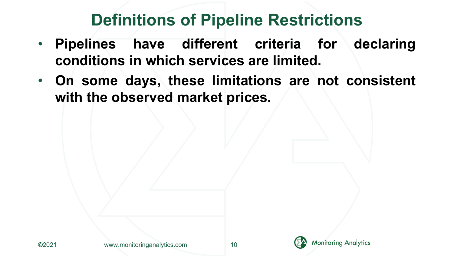#### **Definitions of Pipeline Restrictions**

- **Pipelines have different criteria for declaring conditions in which services are limited.**
- **On some days, these limitations are not consistent with the observed market prices.**

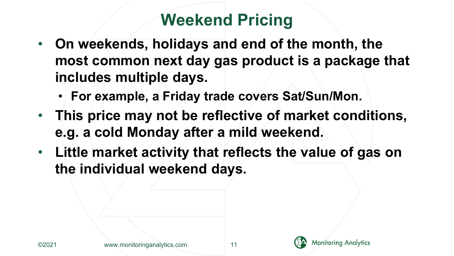### **Weekend Pricing**

- **On weekends, holidays and end of the month, the most common next day gas product is a package that includes multiple days.**
	- **For example, a Friday trade covers Sat/Sun/Mon.**
- **This price may not be reflective of market conditions, e.g. a cold Monday after a mild weekend.**
- **Little market activity that reflects the value of gas on the individual weekend days.**



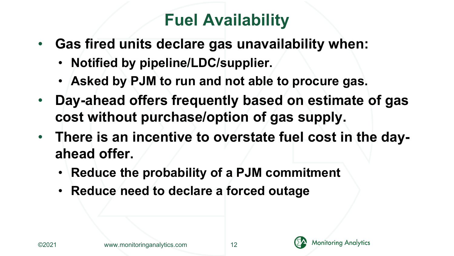## **Fuel Availability**

- **Gas fired units declare gas unavailability when:**
	- **Notified by pipeline/LDC/supplier.**
	- **Asked by PJM to run and not able to procure gas.**
- **Day-ahead offers frequently based on estimate of gas cost without purchase/option of gas supply.**
- **There is an incentive to overstate fuel cost in the dayahead offer.**
	- **Reduce the probability of a PJM commitment**
	- **Reduce need to declare a forced outage**



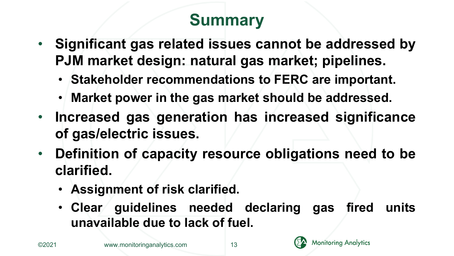# **Summary**

- **Significant gas related issues cannot be addressed by PJM market design: natural gas market; pipelines.**
	- **Stakeholder recommendations to FERC are important.**
	- **Market power in the gas market should be addressed.**
- **Increased gas generation has increased significance of gas/electric issues.**
- **Definition of capacity resource obligations need to be clarified.**
	- **Assignment of risk clarified.**
	- **Clear guidelines needed declaring gas fired units unavailable due to lack of fuel.**